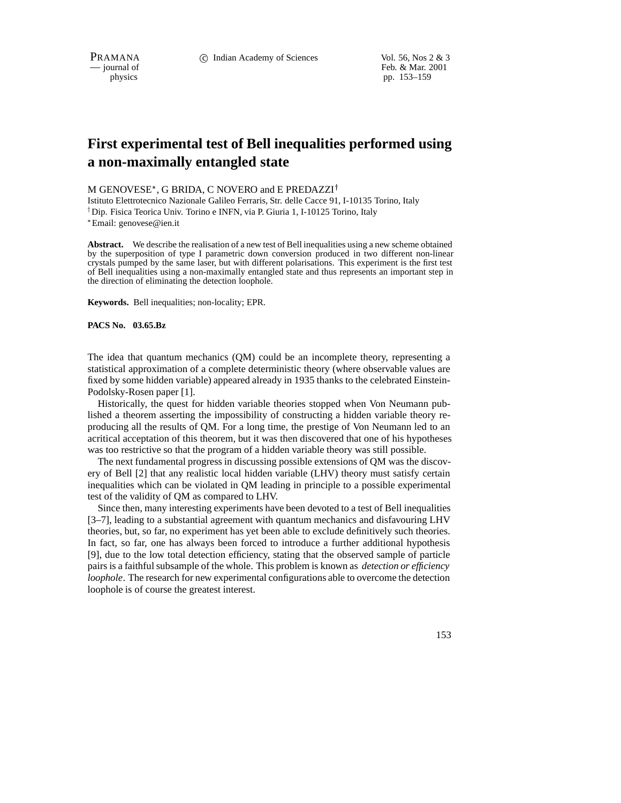PRAMANA 
<sup>c</sup> Indian Academy of Sciences Vol. 56, Nos 2 & 3<br>  $-$  journal of Feb. & Mar. 2001 Feb. & Mar. 2001 physics pp. 153–159

# **First experimental test of Bell inequalities performed using a non-maximally entangled state**

M GENOVESE\*, G BRIDA, C NOVERO and E PREDAZZI†

Istituto Elettrotecnico Nazionale Galileo Ferraris, Str. delle Cacce 91, I-10135 Torino, Italy <sup>†</sup> Dip. Fisica Teorica Univ. Torino e INFN, via P. Giuria 1, I-10125 Torino, Italy Email: genovese@ien.it

**Abstract.** We describe the realisation of a new test of Bell inequalities using a new scheme obtained by the superposition of type I parametric down conversion produced in two different non-linear crystals pumped by the same laser, but with different polarisations. This experiment is the first test of Bell inequalities using a non-maximally entangled state and thus represents an important step in the direction of eliminating the detection loophole.

**Keywords.** Bell inequalities; non-locality; EPR.

#### **PACS No. 03.65.Bz**

The idea that quantum mechanics (QM) could be an incomplete theory, representing a statistical approximation of a complete deterministic theory (where observable values are fixed by some hidden variable) appeared already in 1935 thanks to the celebrated Einstein-Podolsky-Rosen paper [1].

Historically, the quest for hidden variable theories stopped when Von Neumann published a theorem asserting the impossibility of constructing a hidden variable theory reproducing all the results of QM. For a long time, the prestige of Von Neumann led to an acritical acceptation of this theorem, but it was then discovered that one of his hypotheses was too restrictive so that the program of a hidden variable theory was still possible.

The next fundamental progress in discussing possible extensions of QM was the discovery of Bell [2] that any realistic local hidden variable (LHV) theory must satisfy certain inequalities which can be violated in QM leading in principle to a possible experimental test of the validity of QM as compared to LHV.

Since then, many interesting experiments have been devoted to a test of Bell inequalities [3–7], leading to a substantial agreement with quantum mechanics and disfavouring LHV theories, but, so far, no experiment has yet been able to exclude definitively such theories. In fact, so far, one has always been forced to introduce a further additional hypothesis [9], due to the low total detection efficiency, stating that the observed sample of particle pairs is a faithful subsample of the whole. This problem is known as *detection or efficiency loophole*. The research for new experimental configurations able to overcome the detection loophole is of course the greatest interest.

153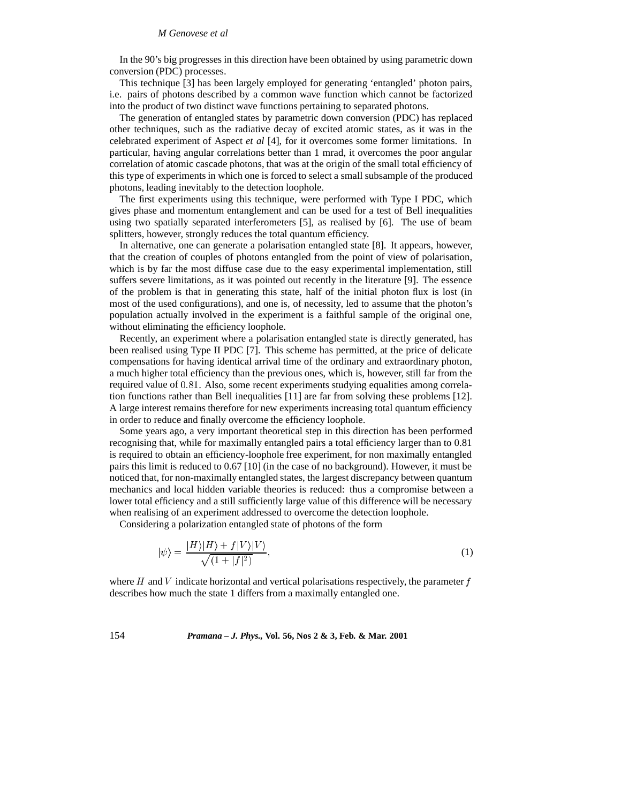#### *M Genovese et al*

In the 90's big progresses in this direction have been obtained by using parametric down conversion (PDC) processes.

This technique [3] has been largely employed for generating 'entangled' photon pairs, i.e. pairs of photons described by a common wave function which cannot be factorized into the product of two distinct wave functions pertaining to separated photons.

The generation of entangled states by parametric down conversion (PDC) has replaced other techniques, such as the radiative decay of excited atomic states, as it was in the celebrated experiment of Aspect *et al* [4], for it overcomes some former limitations. In particular, having angular correlations better than 1 mrad, it overcomes the poor angular correlation of atomic cascade photons, that was at the origin of the small total efficiency of this type of experiments in which one is forced to select a small subsample of the produced photons, leading inevitably to the detection loophole.

The first experiments using this technique, were performed with Type I PDC, which gives phase and momentum entanglement and can be used for a test of Bell inequalities using two spatially separated interferometers [5], as realised by [6]. The use of beam splitters, however, strongly reduces the total quantum efficiency.

In alternative, one can generate a polarisation entangled state [8]. It appears, however, that the creation of couples of photons entangled from the point of view of polarisation, which is by far the most diffuse case due to the easy experimental implementation, still suffers severe limitations, as it was pointed out recently in the literature [9]. The essence of the problem is that in generating this state, half of the initial photon flux is lost (in most of the used configurations), and one is, of necessity, led to assume that the photon's population actually involved in the experiment is a faithful sample of the original one, without eliminating the efficiency loophole.

Recently, an experiment where a polarisation entangled state is directly generated, has been realised using Type II PDC [7]. This scheme has permitted, at the price of delicate compensations for having identical arrival time of the ordinary and extraordinary photon, a much higher total efficiency than the previous ones, which is, however, still far from the required value of 0:81. Also, some recent experiments studying equalities among correlation functions rather than Bell inequalities [11] are far from solving these problems [12]. A large interest remains therefore for new experiments increasing total quantum efficiency in order to reduce and finally overcome the efficiency loophole.

Some years ago, a very important theoretical step in this direction has been performed recognising that, while for maximally entangled pairs a total efficiency larger than to 0.81 is required to obtain an efficiency-loophole free experiment, for non maximally entangled pairs this limit is reduced to 0.67 [10] (in the case of no background). However, it must be noticed that, for non-maximally entangled states, the largest discrepancy between quantum mechanics and local hidden variable theories is reduced: thus a compromise between a lower total efficiency and a still sufficiently large value of this difference will be necessary when realising of an experiment addressed to overcome the detection loophole.

Considering a polarization entangled state of photons of the form

$$
|\psi\rangle = \frac{|H\rangle|H\rangle + f|V\rangle|V\rangle}{\sqrt{(1+|f|^2)}},\tag{1}
$$

where H and V indicate horizontal and vertical polarisations respectively, the parameter  $f$ describes how much the state 1 differs from a maximally entangled one.

## 154 *Pramana – J. Phys.,* **Vol. 56, Nos 2 & 3, Feb. & Mar. 2001**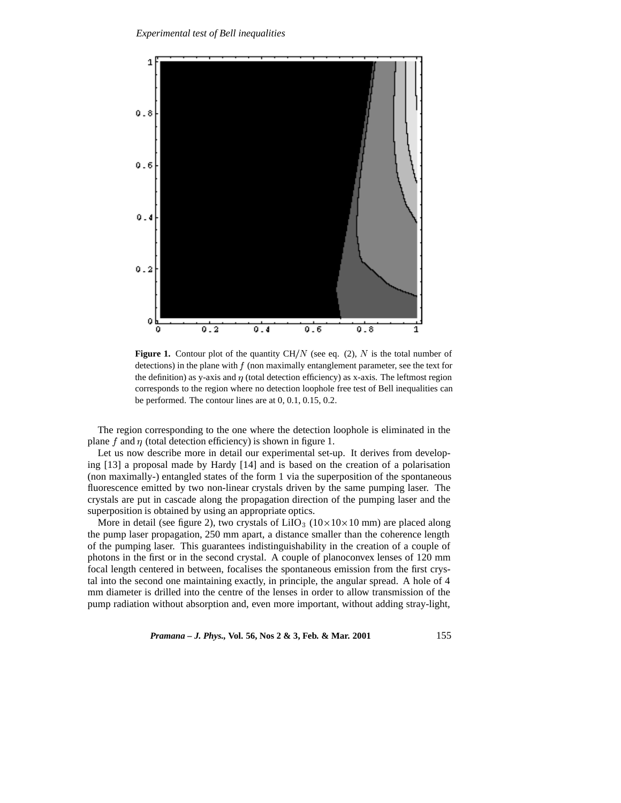

**Figure 1.** Contour plot of the quantity CH/N (see eq.  $(2)$ , N is the total number of detections) in the plane with  $f$  (non maximally entanglement parameter, see the text for the definition) as y-axis and  $\eta$  (total detection efficiency) as x-axis. The leftmost region corresponds to the region where no detection loophole free test of Bell inequalities can be performed. The contour lines are at 0, 0.1, 0.15, 0.2.

The region corresponding to the one where the detection loophole is eliminated in the plane f and  $\eta$  (total detection efficiency) is shown in figure 1.

Let us now describe more in detail our experimental set-up. It derives from developing [13] a proposal made by Hardy [14] and is based on the creation of a polarisation (non maximally-) entangled states of the form 1 via the superposition of the spontaneous fluorescence emitted by two non-linear crystals driven by the same pumping laser. The crystals are put in cascade along the propagation direction of the pumping laser and the superposition is obtained by using an appropriate optics.

More in detail (see figure 2), two crystals of  $LiIO_3$  ( $10 \times 10 \times 10$  mm) are placed along the pump laser propagation, 250 mm apart, a distance smaller than the coherence length of the pumping laser. This guarantees indistinguishability in the creation of a couple of photons in the first or in the second crystal. A couple of planoconvex lenses of 120 mm focal length centered in between, focalises the spontaneous emission from the first crystal into the second one maintaining exactly, in principle, the angular spread. A hole of 4 mm diameter is drilled into the centre of the lenses in order to allow transmission of the pump radiation without absorption and, even more important, without adding stray-light,

*Pramana – J. Phys.,* **Vol. 56, Nos 2 & 3, Feb. & Mar. 2001** 155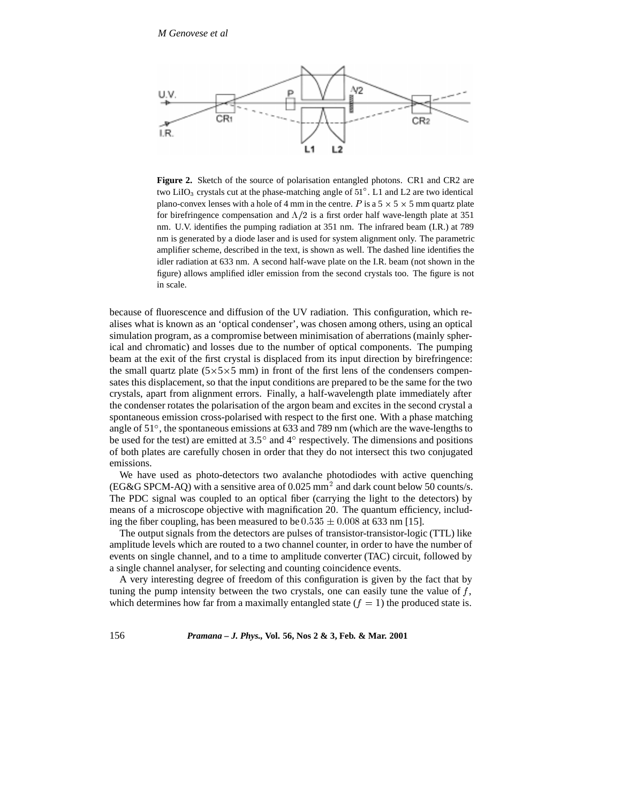

**Figure 2.** Sketch of the source of polarisation entangled photons. CR1 and CR2 are two LiIO<sub>3</sub> crystals cut at the phase-matching angle of  $51^{\circ}$ . L1 and L2 are two identical plano-convex lenses with a hole of 4 mm in the centre. P is a  $5 \times 5 \times 5$  mm quartz plate for birefringence compensation and  $\Lambda/2$  is a first order half wave-length plate at 351 nm. U.V. identifies the pumping radiation at 351 nm. The infrared beam (I.R.) at 789 nm is generated by a diode laser and is used for system alignment only. The parametric amplifier scheme, described in the text, is shown as well. The dashed line identifies the idler radiation at 633 nm. A second half-wave plate on the I.R. beam (not shown in the figure) allows amplified idler emission from the second crystals too. The figure is not in scale.

because of fluorescence and diffusion of the UV radiation. This configuration, which realises what is known as an 'optical condenser', was chosen among others, using an optical simulation program, as a compromise between minimisation of aberrations (mainly spherical and chromatic) and losses due to the number of optical components. The pumping beam at the exit of the first crystal is displaced from its input direction by birefringence: the small quartz plate  $(5 \times 5 \times 5 \text{ mm})$  in front of the first lens of the condensers compensates this displacement, so that the input conditions are prepared to be the same for the two crystals, apart from alignment errors. Finally, a half-wavelength plate immediately after the condenser rotates the polarisation of the argon beam and excites in the second crystal a spontaneous emission cross-polarised with respect to the first one. With a phase matching angle of 51°, the spontaneous emissions at 633 and 789 nm (which are the wave-lengths to be used for the test) are emitted at  $3.5^{\circ}$  and  $4^{\circ}$  respectively. The dimensions and positions of both plates are carefully chosen in order that they do not intersect this two conjugated emissions.

We have used as photo-detectors two avalanche photodiodes with active quenching  $(EG&G$  SPCM-AQ) with a sensitive area of 0.025 mm<sup>2</sup> and dark count below 50 counts/s. The PDC signal was coupled to an optical fiber (carrying the light to the detectors) by means of a microscope objective with magnification 20. The quantum efficiency, including the fiber coupling, has been measured to be  $0.535 \pm 0.008$  at 633 nm [15].

The output signals from the detectors are pulses of transistor-transistor-logic (TTL) like amplitude levels which are routed to a two channel counter, in order to have the number of events on single channel, and to a time to amplitude converter (TAC) circuit, followed by a single channel analyser, for selecting and counting coincidence events.

A very interesting degree of freedom of this configuration is given by the fact that by tuning the pump intensity between the two crystals, one can easily tune the value of  $f$ , which determines how far from a maximally entangled state  $(f = 1)$  the produced state is.

156 *Pramana – J. Phys.,* **Vol. 56, Nos 2 & 3, Feb. & Mar. 2001**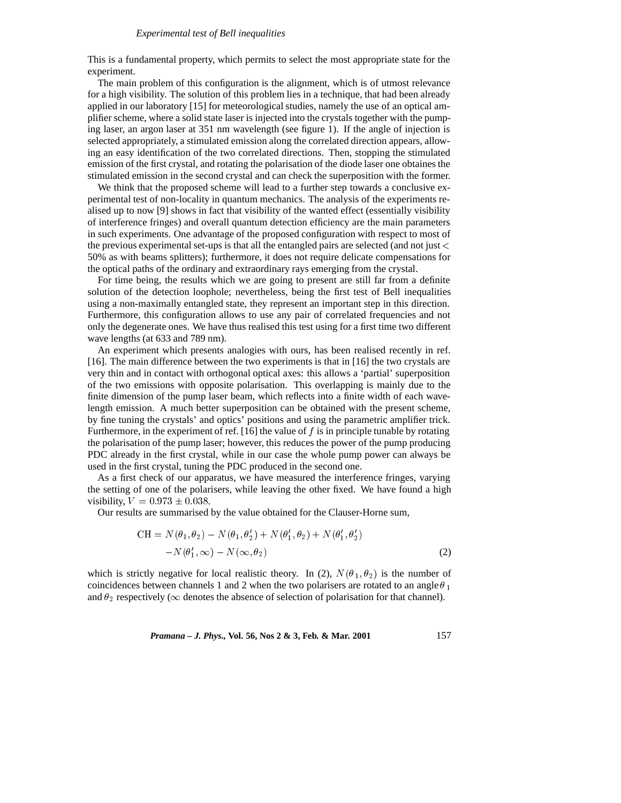This is a fundamental property, which permits to select the most appropriate state for the experiment.

The main problem of this configuration is the alignment, which is of utmost relevance for a high visibility. The solution of this problem lies in a technique, that had been already applied in our laboratory [15] for meteorological studies, namely the use of an optical amplifier scheme, where a solid state laser is injected into the crystals together with the pumping laser, an argon laser at 351 nm wavelength (see figure 1). If the angle of injection is selected appropriately, a stimulated emission along the correlated direction appears, allowing an easy identification of the two correlated directions. Then, stopping the stimulated emission of the first crystal, and rotating the polarisation of the diode laser one obtaines the stimulated emission in the second crystal and can check the superposition with the former.

We think that the proposed scheme will lead to a further step towards a conclusive experimental test of non-locality in quantum mechanics. The analysis of the experiments realised up to now [9] shows in fact that visibility of the wanted effect (essentially visibility of interference fringes) and overall quantum detection efficiency are the main parameters in such experiments. One advantage of the proposed configuration with respect to most of the previous experimental set-ups is that all the entangled pairs are selected (and not just <sup>&</sup>lt; 50% as with beams splitters); furthermore, it does not require delicate compensations for the optical paths of the ordinary and extraordinary rays emerging from the crystal.

For time being, the results which we are going to present are still far from a definite solution of the detection loophole; nevertheless, being the first test of Bell inequalities using a non-maximally entangled state, they represent an important step in this direction. Furthermore, this configuration allows to use any pair of correlated frequencies and not only the degenerate ones. We have thus realised this test using for a first time two different wave lengths (at 633 and 789 nm).

An experiment which presents analogies with ours, has been realised recently in ref. [16]. The main difference between the two experiments is that in [16] the two crystals are very thin and in contact with orthogonal optical axes: this allows a 'partial' superposition of the two emissions with opposite polarisation. This overlapping is mainly due to the finite dimension of the pump laser beam, which reflects into a finite width of each wavelength emission. A much better superposition can be obtained with the present scheme, by fine tuning the crystals' and optics' positions and using the parametric amplifier trick. Furthermore, in the experiment of ref.  $[16]$  the value of f is in principle tunable by rotating the polarisation of the pump laser; however, this reduces the power of the pump producing PDC already in the first crystal, while in our case the whole pump power can always be used in the first crystal, tuning the PDC produced in the second one.

As a first check of our apparatus, we have measured the interference fringes, varying the setting of one of the polarisers, while leaving the other fixed. We have found a high visibility,  $V = 0.973 \pm 0.038$ .

Our results are summarised by the value obtained for the Clauser-Horne sum,

$$
CH = N(\theta_1, \theta_2) - N(\theta_1, \theta_2') + N(\theta_1', \theta_2) + N(\theta_1', \theta_2')
$$
  
-N(\theta\_1', \infty) - N(\infty, \theta\_2) (2)

which is strictly negative for local realistic theory. In (2),  $N(\theta_1, \theta_2)$  is the number of coincidences between channels 1 and 2 when the two polarisers are rotated to an angle  $\theta_1$ and  $\theta_2$  respectively ( $\infty$  denotes the absence of selection of polarisation for that channel).

*Pramana – J. Phys.,* **Vol. 56, Nos 2 & 3, Feb. & Mar. 2001** 157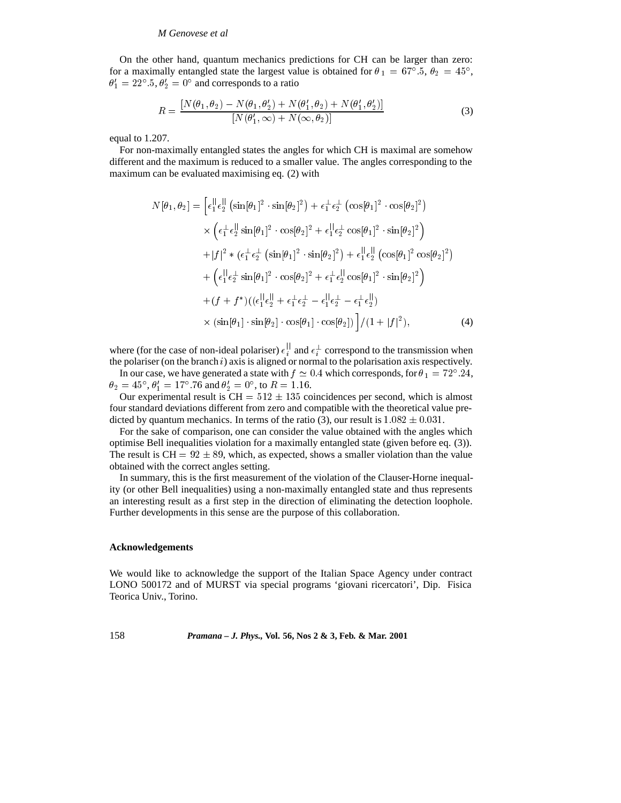## *M Genovese et al*

On the other hand, quantum mechanics predictions for CH can be larger than zero: for a maximally entangled state the largest value is obtained for  $\theta_1 = 67^{\circ}$ .5,  $\theta_2 = 45^{\circ}$ ,  $\theta_1' = 22^{\circ}.5, \theta_2' = 0^{\circ}$  and corresponds to a ratio

$$
R = \frac{[N(\theta_1, \theta_2) - N(\theta_1, \theta_2') + N(\theta_1', \theta_2) + N(\theta_1', \theta_2')] }{[N(\theta_1', \infty) + N(\infty, \theta_2)]}
$$
(3)

equal to 1.207.

For non-maximally entangled states the angles for which CH is maximal are somehow different and the maximum is reduced to a smaller value. The angles corresponding to the maximum can be evaluated maximising eq. (2) with

$$
N[\theta_1, \theta_2] = \left[\epsilon_1^{||} \epsilon_2^{||} \left(\sin[\theta_1]^2 \cdot \sin[\theta_2]^2\right) + \epsilon_1^{\perp} \epsilon_2^{\perp} \left(\cos[\theta_1]^2 \cdot \cos[\theta_2]^2\right)\right]
$$
  
\n
$$
\times \left(\epsilon_1^{\perp} \epsilon_2^{||} \sin[\theta_1]^2 \cdot \cos[\theta_2]^2 + \epsilon_1^{\parallel} \epsilon_2^{\perp} \cos[\theta_1]^2 \cdot \sin[\theta_2]^2\right)
$$
  
\n
$$
+ |f|^2 \times \left(\epsilon_1^{\perp} \epsilon_2^{\perp} \left(\sin[\theta_1]^2 \cdot \sin[\theta_2]^2\right) + \epsilon_1^{\parallel} \epsilon_2^{\parallel} \left(\cos[\theta_1]^2 \cos[\theta_2]^2\right)\right)
$$
  
\n
$$
+ \left(\epsilon_1^{||} \epsilon_2^{\perp} \sin[\theta_1]^2 \cdot \cos[\theta_2]^2 + \epsilon_1^{\perp} \epsilon_2^{\perp} \cos[\theta_1]^2 \cdot \sin[\theta_2]^2\right)
$$
  
\n
$$
+ (f + f^*)(\left(\epsilon_1^{||} \epsilon_2^{||} + \epsilon_1^{\perp} \epsilon_2^{\perp} - \epsilon_1^{\parallel} \epsilon_2^{\perp} - \epsilon_1^{\perp} \epsilon_2^{\parallel}\right)
$$
  
\n
$$
\times \left(\sin[\theta_1] \cdot \sin[\theta_2] \cdot \cos[\theta_1] \cdot \cos[\theta_2]\right) / (1 + |f|^2),
$$
  
\n(4)

where (for the case of non-ideal polariser)  $\epsilon_i^{\parallel}$  and  $\epsilon_i^{\perp}$  correspond to the transmission when the polariser (on the branch  $i$ ) axis is aligned or normal to the polarisation axis respectively.

In our case, we have generated a state with  $f \simeq 0.4$  which corresponds, for  $\theta_1 = 72^{\circ}.24$ ,  $\theta_2 = 45^\circ$ ,  $\theta_1' = 17^\circ$  76 and  $\theta_2' = 0^\circ$ , to  $R = 1.16$ .

Our experimental result is  $CH = 512 \pm 135$  coincidences per second, which is almost four standard deviations different from zero and compatible with the theoretical value predicted by quantum mechanics. In terms of the ratio (3), our result is  $1.082 \pm 0.031$ .

For the sake of comparison, one can consider the value obtained with the angles which optimise Bell inequalities violation for a maximally entangled state (given before eq. (3)). The result is  $CH = 92 \pm 89$ , which, as expected, shows a smaller violation than the value obtained with the correct angles setting.

In summary, this is the first measurement of the violation of the Clauser-Horne inequality (or other Bell inequalities) using a non-maximally entangled state and thus represents an interesting result as a first step in the direction of eliminating the detection loophole. Further developments in this sense are the purpose of this collaboration.

### **Acknowledgements**

We would like to acknowledge the support of the Italian Space Agency under contract LONO 500172 and of MURST via special programs 'giovani ricercatori', Dip. Fisica Teorica Univ., Torino.

158 *Pramana – J. Phys.,* **Vol. 56, Nos 2 & 3, Feb. & Mar. 2001**